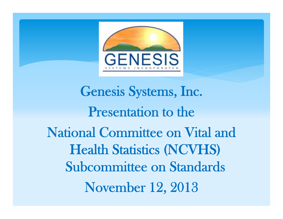

Genesis Systems, Inc. Presentation to the National Committee on Vital and Health Statistics (NCVHS) Subcommittee on Standards November 12, 2013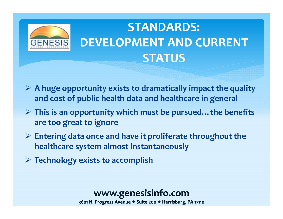# **STANDARDS: DEVELOPMENT AND CURRENT STATUS**

- **<sup>A</sup> huge opportunity exists to dramatically impact the quality and cost of public h l eath data and h lh eatcare in general**
- **This is an opportunity which must be pursued…the benefits are too great to ignore**
- **Entering data once and have it proliferate throughout the healthcare system almost instantaneously**
- **Technology exists to accomplish**

**GENESIS** 

#### **www.genesisinfo.com**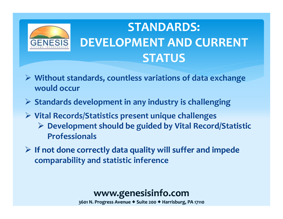## **STANDARDS: DEVELOPMENT AND CURRENT STATUS**

- **Without standards, countless variations of data exchange would occur**
- **Standards development in any industry is challenging**
- **Vital Records/Statistics presen<sup>t</sup> unique challenges**

**GENESIS** 

- **Development sh l oud be guided by Vi l ta Record/Statistic Professionals**
- $\triangleright$  If not done correctly data quality will suffer and impede **comparability and statistic inference**

#### **www.genesisinfo.com**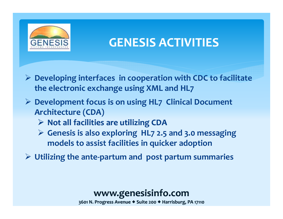

### **GENESIS ACTIVITIES**

- **Developing interfaces in cooperation with CDC to facilitate the electronic exchange using XML and HL7**
- **Development focus is on using HL7 Clinical Document Architecture (CDA)**
	- $\triangleright$  Not all facilities are utilizing CDA
	- **Genesis is also exploring HL7 2.5 and 3.0 messaging models to assist facilities in quicker adoption**
- **Utilizing the ante‐partum and pos<sup>t</sup> partum summaries**

#### **www.genesisinfo.com**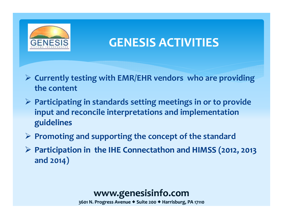

### **GENESIS ACTIVITIES**

- **Currently testing with EMR/EHR vendors who are providing the content**
- **Participating in standards setting meetings in or to provide input and reconcile interpretations and implementation guidelinesguidelines**
- **Promoting and supporting the concep<sup>t</sup> of the standard**
- **Participation in the IHE Connectathon and HIMSS (2012, 2013 and 2014)**

#### **www.genesisinfo.com**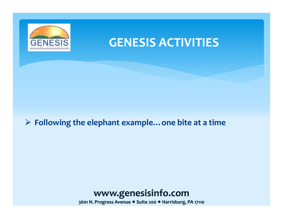

### **GENESIS ACTIVITIES**

#### $\triangleright$  Following the elephant example... one bite at a time

### **www.genesisinfo.com**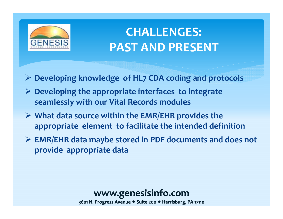

### **CHALLENGES: PAST AND PRESENT**

- **Developing knowledge of HL7 CDA coding and protocols**
- **Develop g in the appropriate interfaces to integrate seamlessly with our Vital Records modules**
- **What data source within the EMR/EHR provides the** *<u><b>appropriate* element to facilitate the intended definition</u>
- **EMR/EHR data maybe stored in PDF documents and does not provide appropriate data**

#### **www.genesisinfo.com**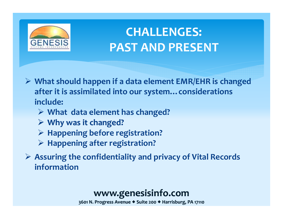

### **CHALLENGES: PAST AND PRESENT**

- **What should happen if <sup>a</sup> data element EMR/EHR is changed after it is assimilated into our system…considerations include:**
	- **What data element has changed?**
	- **► Why** was it changed?
	- **Happening before registration?**
	- **Happening after registration?**
- **Assuring the confidentiality and privacy of Vital Records information**

#### **www.genesisinfo.com**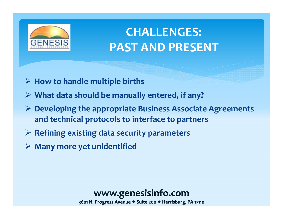

### **CHALLENGES: PAST AND PRESENT**

- **How to handle multiple births**
- $\triangleright$  What data should be manually entered, if any?
- **Developing the appropriate Business Associate Agreements and technical protocols to interface to partners**
- **Refining existing data security parameters**
- **Many more yet unidentified**

#### **www.genesisinfo.com**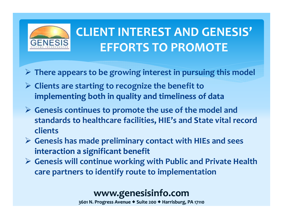

### **CLIENT INTEREST AND GENESIS' EFFORTS TO PROMOTE**

- **There appears to be growing interest in pursuing this model**
- **Clients are starting to recognize the benefit to implementing** both in quality and timeliness of data
- **Genesis continues to promote the use of the model and standards to healthcare facilities, HIE's and State vital record clients**
- **Genesis has made preliminary contact with HIEs and sees interaction a significant benefit**
- **Genesis will continue working with Public and Private Health care partners to identify route to implementation**

### **www.genesisinfo.com**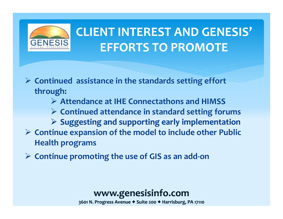

### **CLIENT INTEREST AND GENESIS' EFFORTS TO PROMOTE**

 **Continued assistance in the standards setting effort through:**

- **Attendance at IHE Connectathons and HIMSS**
- **Continued attendance in standard setting forums**
- $\triangleright$  Suggesting and supporting early implementation **Continue expansion of the model to include other Public Health programs**
- **Continue promoting the use of GIS as an add‐on**

#### **www.genesisinfo.com**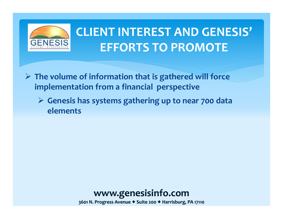

### **CLIENT INTEREST AND GENESIS' EFFORTS TO PROMOTE**

- **The volume of information that is gathered will force implementation from <sup>a</sup> financial perspective**
	- **Genesis has systems gathering up to near 700 data elements**

**www.genesisinfo.com**